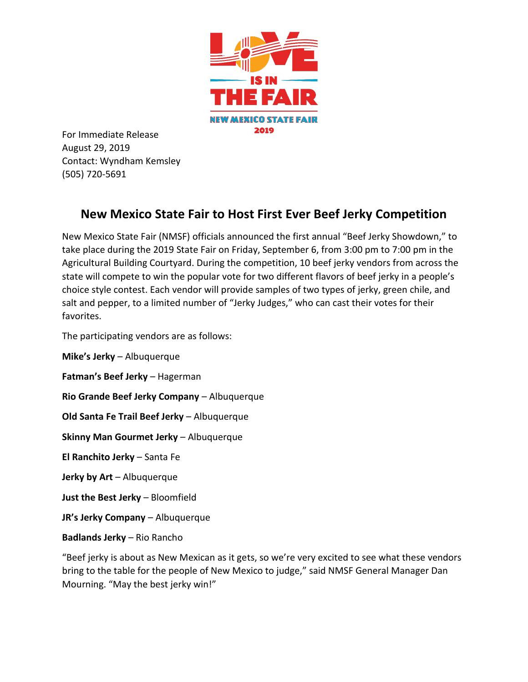

For Immediate Release August 29, 2019 Contact: Wyndham Kemsley (505) 720-5691

## **New Mexico State Fair to Host First Ever Beef Jerky Competition**

New Mexico State Fair (NMSF) officials announced the first annual "Beef Jerky Showdown," to take place during the 2019 State Fair on Friday, September 6, from 3:00 pm to 7:00 pm in the Agricultural Building Courtyard. During the competition, 10 beef jerky vendors from across the state will compete to win the popular vote for two different flavors of beef jerky in a people's choice style contest. Each vendor will provide samples of two types of jerky, green chile, and salt and pepper, to a limited number of "Jerky Judges," who can cast their votes for their favorites.

The participating vendors are as follows:

**Mike's Jerky** – Albuquerque

**Fatman's Beef Jerky** – Hagerman

**Rio Grande Beef Jerky Company** – Albuquerque

**Old Santa Fe Trail Beef Jerky** – Albuquerque

**Skinny Man Gourmet Jerky** – Albuquerque

**El Ranchito Jerky** – Santa Fe

**Jerky by Art** – Albuquerque

**Just the Best Jerky** – Bloomfield

**JR's Jerky Company** – Albuquerque

**Badlands Jerky** – Rio Rancho

"Beef jerky is about as New Mexican as it gets, so we're very excited to see what these vendors bring to the table for the people of New Mexico to judge," said NMSF General Manager Dan Mourning. "May the best jerky win!"